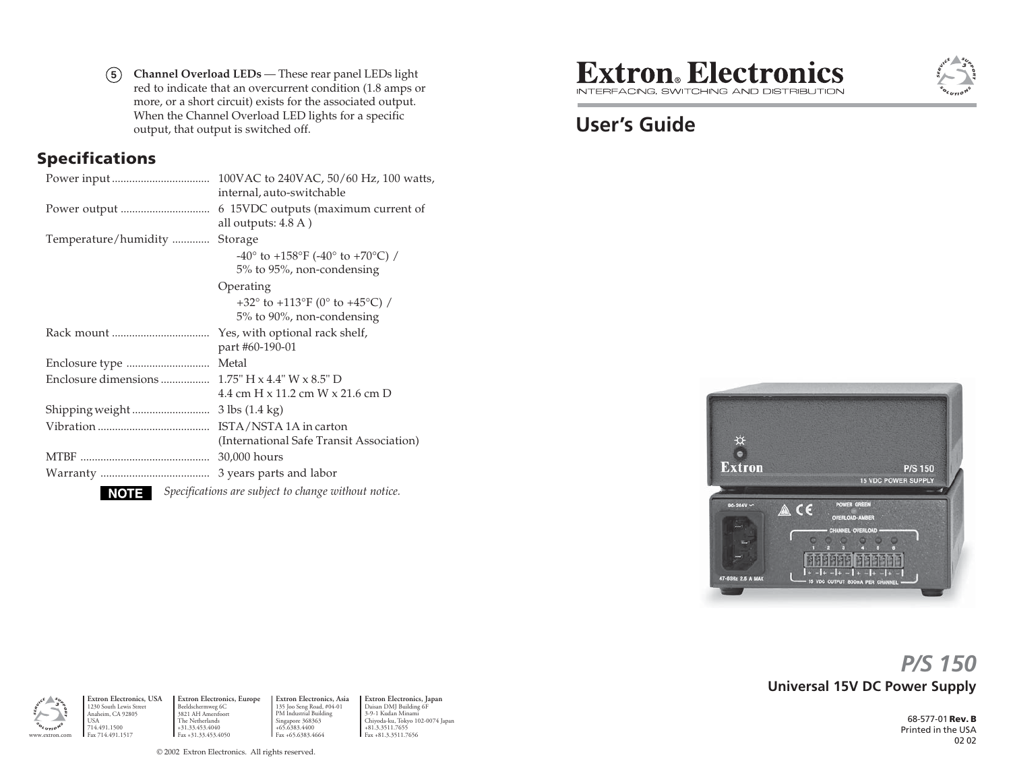**5 Channel Overload LEDs** — These rear panel LEDs light red to indicate that an overcurrent condition (1.8 amps or more, or a short circuit) exists for the associated output. When the Channel Overload LED lights for a specific output, that output is switched off.

#### **Specifications**

|                                                                | 100VAC to 240VAC, 50/60 Hz, 100 watts,<br>internal, auto-switchable      |
|----------------------------------------------------------------|--------------------------------------------------------------------------|
|                                                                | 6 15VDC outputs (maximum current of<br>all outputs: 4.8 A)               |
| Temperature/humidity                                           | Storage                                                                  |
|                                                                | $-40^{\circ}$ to $+158^{\circ}$ F ( $-40^{\circ}$ to $+70^{\circ}$ C) /  |
|                                                                | 5% to 95%, non-condensing                                                |
|                                                                | Operating                                                                |
|                                                                | +32 $^{\circ}$ to +113 $^{\circ}$ F (0 $^{\circ}$ to +45 $^{\circ}$ C) / |
|                                                                | 5% to 90%, non-condensing                                                |
|                                                                | Yes, with optional rack shelf,                                           |
|                                                                | part #60-190-01                                                          |
|                                                                | Metal                                                                    |
|                                                                |                                                                          |
|                                                                | 4.4 cm H x 11.2 cm W x 21.6 cm D                                         |
|                                                                |                                                                          |
|                                                                |                                                                          |
|                                                                | (International Safe Transit Association)                                 |
|                                                                | 30,000 hours                                                             |
|                                                                |                                                                          |
| Specifications are subject to change without notice.<br>NOTE I |                                                                          |

**Extron**. Electronics INTERFACING, SWITCHING AND DISTRIBUTION

# **User's Guide**



# **Universal 15V DC Power Supply** *P/S 150*

68-577-01 **Rev. B** Printed in the USA02 02



1230 South Lewis Street Anaheim, CA 92805 USA714.491.1500

www.extron.com

**Extron Electronics, USA Extron Electronics, Europe** Beeldschermweg 6C 3821 AH Amersfoort The Netherlands +31.33.453.4040 Fax +31.33.453.4050 **Extron Electronics, Asia** 135 Joo Seng Road, #04-01 PM Industrial Building Singapore 368363 +65.6383.4400 Fax +65.6383.4664

**Extron Electronics, Japan** Daisan DMJ Building 6F 3-9-1 Kudan Minami Chiyoda-ku, Tokyo 102-0074 Japan +81.3.3511.7655 Fax +81.3.3511.7656

© 2002 Extron Electronics. All rights reserved.